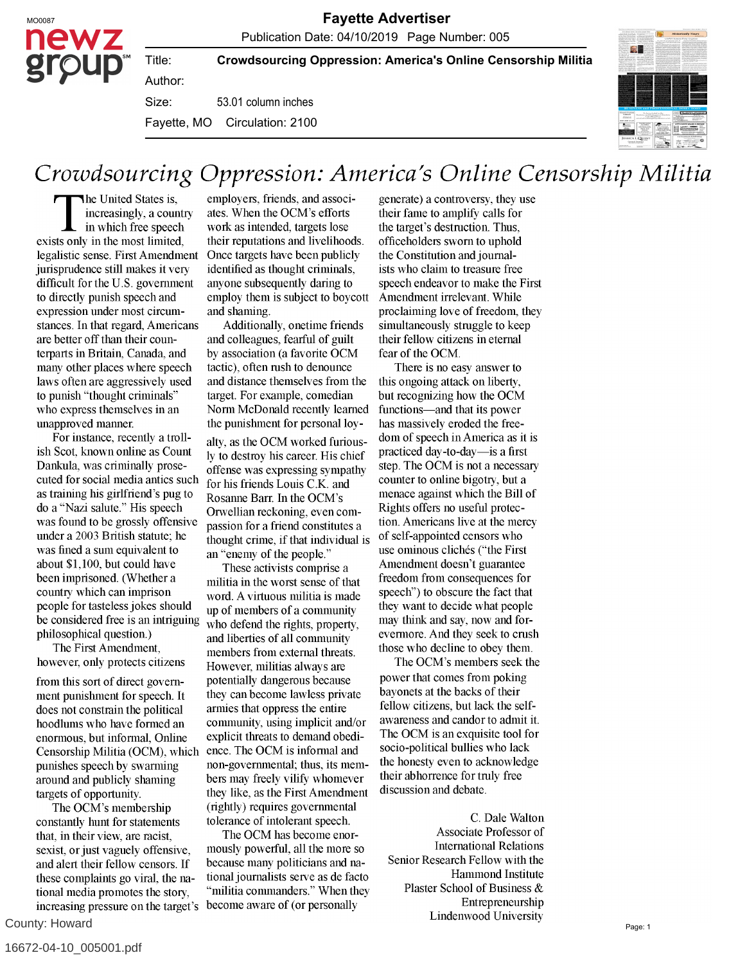Title:

**Crowdsourcing Oppression: America's Online Censorship Militia**

53.01 column inches Author: Size: Fayette, MO Circulation: 2100

## Crowdsourcing Oppression: America's Online Censorship Militia

The United States is, increasingly, a country in which free speech exists only in the most limited, legalistic sense. First Amendment jurisprudence still makes it very difficult for the U.S. government to directly punish speech and expression under most circumstances. In that regard, Americans are better off than their counterparts in Britain, Canada, and many other places where speech laws often are aggressively used to punish "thought criminals" who express themselves in an unapproved manner.

For instance, recently a trollish Scot, known online as Count Dankula, was criminally prosecuted for social media antics such as training his girlfriend's pug to do a "Nazi salute." His speech was found to be grossly offensive under a 2003 British statute; he was fined a sum equivalent to about \$1,100, but could have been imprisoned. (Whether a country which can imprison people for tasteless jokes should be considered free is an intriguing philosophical question.)

The First Amendment, however, only protects citizens

from this sort of direct government punishment for speech. It does not constrain the political hoodlums who have formed an enormous, but informal, Online Censorship Militia (OCM), which punishes speech by swarming around and publicly shaming targets of opportunity.

The OCM's membership constantly hunt for statements that, in their view, are racist, sexist, or just vaguely offensive, and alert their fellow censors. If these complaints go viral, the national media promotes the story, increasing pressure on the target's

County: Howard

employers, friends, and associates. When the OCM's efforts work as intended, targets lose their reputations and livelihoods. Once targets have been publicly identified as thought criminals, anyone subsequently daring to employ them is subject to boycott and shaming.

Additionally, onetime friends and colleagues, fearful of guilt by association (a favorite OCM tactic), often rush to denounce and distance themselves from the target. For example, comedian Norm McDonald recently learned the punishment for personal loy-

alty, as the OCM worked furiously to destroy his career. His chief offense was expressing sympathy for his friends Louis C.K. and Rosanne Barr. In the OCM's Orwellian reckoning, even compassion for a friend constitutes a thought crime, if that individual is an "enemy of the people."

These activists comprise a militia in the worst sense of that word. A virtuous militia is made up of members of a community who defend the rights, property, and liberties of all community members from external threats. However, militias always are potentially dangerous because they can become lawless private armies that oppress the entire community, using implicit and/or explicit threats to demand obedience. The OCM is informal and non-governmental; thus, its members may freely vilify whomever they like, as the First Amendment (rightly) requires governmental tolerance of intolerant speech.

The OCM has become enormously powerful, all the more so because many politicians and national journalists serve as de facto "militia commanders." When they become aware of (or personally

generate) a controversy, they use their fame to amplify calls for the target's destruction. Thus, officeholders sworn to uphold the Constitution and journalists who claim to treasure free speech endeavor to make the First Amendment irrelevant. While proclaiming love of freedom, they simultaneously struggle to keep their fellow citizens in eternal fear of the OCM.

There is no easy answer to this ongoing attack on liberty, but recognizing how the OCM functions-and that its power has massively eroded the freedom of speech in America as it is practiced day-to-day—is a first step. The OCM is not a necessary counter to online bigotry, but a menace against which the Bill of Rights offers no useful protection. Americans live at the mercy of self-appointed censors who use ominous clichés ("the First Amendment doesn't guarantee freedom from consequences for speech") to obscure the fact that they want to decide what people may think and say, now and forevermore. And they seek to crush those who decline to obey them.

The OCM's members seek the power that comes from poking bayonets at the backs of their fellow citizens, but lack the selfawareness and candor to admit it. The OCM is an exquisite tool for socio-political bullies who lack the honesty even to acknowledge their abhorrence for truly free  $d$  discussion and debate  $d$ 

C. Dale Walton  $\mathbf{C}$ . Daie waiten Associate Professor of **International Relations** Senior Research Fellow with the Hammond Institute Plaster School of Business  $\&$ Lindenwood University